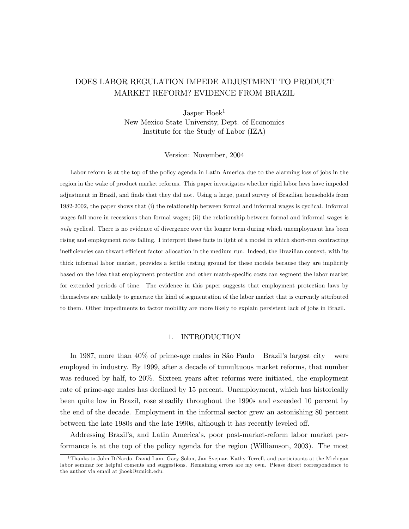## DOES LABOR REGULATION IMPEDE ADJUSTMENT TO PRODUCT MARKET REFORM? EVIDENCE FROM BRAZIL

Jasper Hoek<sup>1</sup> New Mexico State University, Dept. of Economics Institute for the Study of Labor (IZA)

Version: November, 2004

Labor reform is at the top of the policy agenda in Latin America due to the alarming loss of jobs in the region in the wake of product market reforms. This paper investigates whether rigid labor laws have impeded adjustment in Brazil, and finds that they did not. Using a large, panel survey of Brazilian households from 1982-2002, the paper shows that (i) the relationship between formal and informal wages is cyclical. Informal wages fall more in recessions than formal wages; (ii) the relationship between formal and informal wages is only cyclical. There is no evidence of divergence over the longer term during which unemployment has been rising and employment rates falling. I interpret these facts in light of a model in which short-run contracting inefficiencies can thwart efficient factor allocation in the medium run. Indeed, the Brazilian context, with its thick informal labor market, provides a fertile testing ground for these models because they are implicitly based on the idea that employment protection and other match-specific costs can segment the labor market for extended periods of time. The evidence in this paper suggests that employment protection laws by themselves are unlikely to generate the kind of segmentation of the labor market that is currently attributed to them. Other impediments to factor mobility are more likely to explain persistent lack of jobs in Brazil.

#### 1. INTRODUCTION

In 1987, more than 40% of prime-age males in São Paulo — Brazil's largest city — were employed in industry. By 1999, after a decade of tumultuous market reforms, that number was reduced by half, to 20%. Sixteen years after reforms were initiated, the employment rate of prime-age males has declined by 15 percent. Unemployment, which has historically been quite low in Brazil, rose steadily throughout the 1990s and exceeded 10 percent by the end of the decade. Employment in the informal sector grew an astonishing 80 percent between the late 1980s and the late 1990s, although it has recently leveled off.

Addressing Brazil's, and Latin America's, poor post-market-reform labor market performance is at the top of the policy agenda for the region (Williamson, 2003). The most

<sup>&</sup>lt;sup>1</sup>Thanks to John DiNardo, David Lam, Gary Solon, Jan Svejnar, Kathy Terrell, and participants at the Michigan labor seminar for helpful coments and suggestions. Remaining errors are my own. Please direct correspondence to the author via email at jhoek@umich.edu.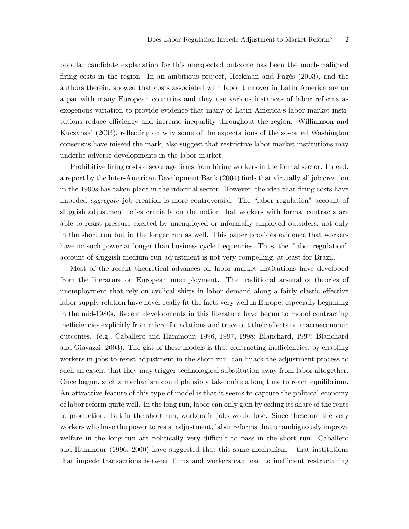popular candidate explanation for this unexpected outcome has been the much-maligned firing costs in the region. In an ambitious project, Heckman and Pagés (2003), and the authors therein, showed that costs associated with labor turnover in Latin America are on a par with many European countries and they use various instances of labor reforms as exogenous variation to provide evidence that many of Latin America's labor market institutions reduce efficiency and increase inequality throughout the region. Williamson and Kuczynski (2003), reflecting on why some of the expectations of the so-called Washington consensus have missed the mark, also suggest that restrictive labor market institutions may underlie adverse developments in the labor market.

Prohibitive firing costs discourage firms from hiring workers in the formal sector. Indeed, a report by the Inter-American Development Bank (2004) finds that virtually all job creation in the 1990s has taken place in the informal sector. However, the idea that firing costs have impeded aggregate job creation is more controversial. The "labor regulation" account of sluggish adjustment relies crucially on the notion that workers with formal contracts are able to resist pressure exerted by unemployed or informally employed outsiders, not only in the short run but in the longer run as well. This paper provides evidence that workers have no such power at longer than business cycle frequencies. Thus, the "labor regulation" account of sluggish medium-run adjustment is not very compelling, at least for Brazil.

Most of the recent theoretical advances on labor market institutions have developed from the literature on European unemployment. The traditional arsenal of theories of unemployment that rely on cyclical shifts in labor demand along a fairly elastic effective labor supply relation have never really fit the facts very well in Europe, especially beginning in the mid-1980s. Recent developments in this literature have begun to model contracting inefficiencies explicitly from micro-foundations and trace out their effects on macroeconomic outcomes. (e.g., Caballero and Hammour, 1996, 1997, 1998; Blanchard, 1997; Blanchard and Giavazzi, 2003). The gist of these models is that contracting inefficiencies, by enabling workers in jobs to resist adjustment in the short run, can hijack the adjustment process to such an extent that they may trigger technological substitution away from labor altogether. Once begun, such a mechanism could plausibly take quite a long time to reach equilibrium. An attractive feature of this type of model is that it seems to capture the political economy of labor reform quite well. In the long run, labor can only gain by ceding its share of the rents to production. But in the short run, workers in jobs would lose. Since these are the very workers who have the power to resist adjustment, labor reforms that unambiguously improve welfare in the long run are politically very difficult to pass in the short run. Caballero and Hammour (1996, 2000) have suggested that this same mechanism — that institutions that impede transactions between firms and workers can lead to inefficient restructuring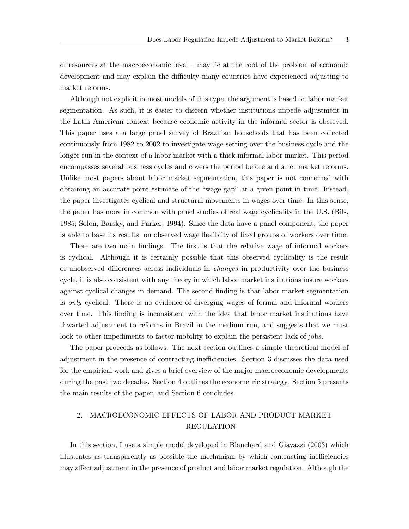of resources at the macroeconomic level — may lie at the root of the problem of economic development and may explain the difficulty many countries have experienced adjusting to market reforms.

Although not explicit in most models of this type, the argument is based on labor market segmentation. As such, it is easier to discern whether institutions impede adjustment in the Latin American context because economic activity in the informal sector is observed. This paper uses a a large panel survey of Brazilian households that has been collected continuously from 1982 to 2002 to investigate wage-setting over the business cycle and the longer run in the context of a labor market with a thick informal labor market. This period encompasses several business cycles and covers the period before and after market reforms. Unlike most papers about labor market segmentation, this paper is not concerned with obtaining an accurate point estimate of the "wage gap" at a given point in time. Instead, the paper investigates cyclical and structural movements in wages over time. In this sense, the paper has more in common with panel studies of real wage cyclicality in the U.S. (Bils, 1985; Solon, Barsky, and Parker, 1994). Since the data have a panel component, the paper is able to base its results on observed wage flexiblity of fixed groups of workers over time.

There are two main findings. The first is that the relative wage of informal workers is cyclical. Although it is certainly possible that this observed cyclicality is the result of unobserved differences across individuals in changes in productivity over the business cycle, it is also consistent with any theory in which labor market institutions insure workers against cyclical changes in demand. The second finding is that labor market segmentation is only cyclical. There is no evidence of diverging wages of formal and informal workers over time. This finding is inconsistent with the idea that labor market institutions have thwarted adjustment to reforms in Brazil in the medium run, and suggests that we must look to other impediments to factor mobility to explain the persistent lack of jobs.

The paper proceeds as follows. The next section outlines a simple theoretical model of adjustment in the presence of contracting inefficiencies. Section 3 discusses the data used for the empirical work and gives a brief overview of the major macroeconomic developments during the past two decades. Section 4 outlines the econometric strategy. Section 5 presents the main results of the paper, and Section 6 concludes.

## 2. MACROECONOMIC EFFECTS OF LABOR AND PRODUCT MARKET REGULATION

In this section, I use a simple model developed in Blanchard and Giavazzi (2003) which illustrates as transparently as possible the mechanism by which contracting inefficiencies may affect adjustment in the presence of product and labor market regulation. Although the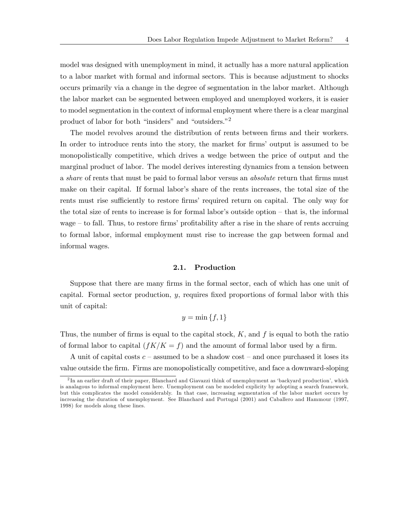model was designed with unemployment in mind, it actually has a more natural application to a labor market with formal and informal sectors. This is because adjustment to shocks occurs primarily via a change in the degree of segmentation in the labor market. Although the labor market can be segmented between employed and unemployed workers, it is easier to model segmentation in the context of informal employment where there is a clear marginal product of labor for both "insiders" and "outsiders."2

The model revolves around the distribution of rents between firms and their workers. In order to introduce rents into the story, the market for firms' output is assumed to be monopolistically competitive, which drives a wedge between the price of output and the marginal product of labor. The model derives interesting dynamics from a tension between a share of rents that must be paid to formal labor versus an absolute return that firms must make on their capital. If formal labor's share of the rents increases, the total size of the rents must rise sufficiently to restore firms' required return on capital. The only way for the total size of rents to increase is for formal labor's outside option — that is, the informal wage — to fall. Thus, to restore firms' profitability after a rise in the share of rents accruing to formal labor, informal employment must rise to increase the gap between formal and informal wages.

#### 2.1. Production

Suppose that there are many firms in the formal sector, each of which has one unit of capital. Formal sector production, y, requires fixed proportions of formal labor with this unit of capital:

$$
y = \min\{f, 1\}
$$

Thus, the number of firms is equal to the capital stock,  $K$ , and  $f$  is equal to both the ratio of formal labor to capital  $(fK/K = f)$  and the amount of formal labor used by a firm.

A unit of capital costs  $c$  – assumed to be a shadow cost – and once purchased it loses its value outside the firm. Firms are monopolistically competitive, and face a downward-sloping

<sup>2</sup> In an earlier draft of their paper, Blanchard and Giavazzi think of unemployment as 'backyard production', which is analagous to informal employment here. Unemployment can be modeled explicity by adopting a search framework, but this complicates the model considerably. In that case, increasing segmentation of the labor market occurs by increasing the duration of unemployment. See Blanchard and Portugal (2001) and Caballero and Hammour (1997, 1998) for models along these lines.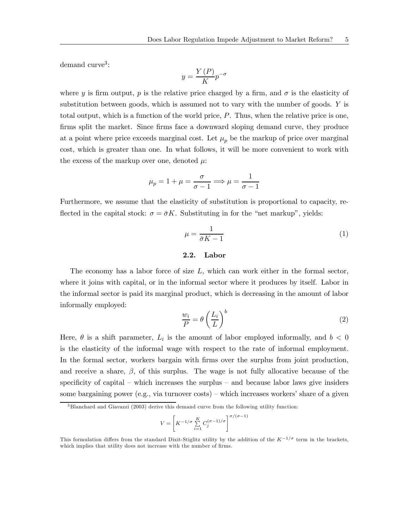demand  $curve<sup>3</sup>$ :

$$
y = \frac{Y(P)}{K} p^{-\sigma}
$$

where y is firm output, p is the relative price charged by a firm, and  $\sigma$  is the elasticity of substitution between goods, which is assumed not to vary with the number of goods. Y is total output, which is a function of the world price, P. Thus, when the relative price is one, firms split the market. Since firms face a downward sloping demand curve, they produce at a point where price exceeds marginal cost. Let  $\mu_p$  be the markup of price over marginal cost, which is greater than one. In what follows, it will be more convenient to work with the excess of the markup over one, denoted  $\mu$ :

$$
\mu_p = 1 + \mu = \frac{\sigma}{\sigma - 1} \Longrightarrow \mu = \frac{1}{\sigma - 1}
$$

Furthermore, we assume that the elasticity of substitution is proportional to capacity, reflected in the capital stock:  $\sigma = \bar{\sigma}K$ . Substituting in for the "net markup", yields:

$$
\mu = \frac{1}{\bar{\sigma}K - 1} \tag{1}
$$

### 2.2. Labor

The economy has a labor force of size  $L$ , which can work either in the formal sector, where it joins with capital, or in the informal sector where it produces by itself. Labor in the informal sector is paid its marginal product, which is decreasing in the amount of labor informally employed:

$$
\frac{w_i}{P} = \theta \left(\frac{L_i}{L}\right)^b \tag{2}
$$

Here,  $\theta$  is a shift parameter,  $L_i$  is the amount of labor employed informally, and  $b < 0$ is the elasticity of the informal wage with respect to the rate of informal employment. In the formal sector, workers bargain with firms over the surplus from joint production, and receive a share,  $\beta$ , of this surplus. The wage is not fully allocative because of the specificity of capital — which increases the surplus — and because labor laws give insiders some bargaining power (e.g., via turnover costs) — which increases workers' share of a given

$$
V = \left[ K^{-1/\sigma} \sum_{i=1}^{K} C_j^{(\sigma - 1)/\sigma} \right]^{\sigma/(\sigma - 1)}
$$

 $3$ Blanchard and Giavazzi (2003) derive this demand curve from the following utility function:

This formulation differs from the standard Dixit-Stiglitz utility by the addition of the  $K^{-1/\sigma}$  term in the brackets, which implies that utility does not increase with the number of firms.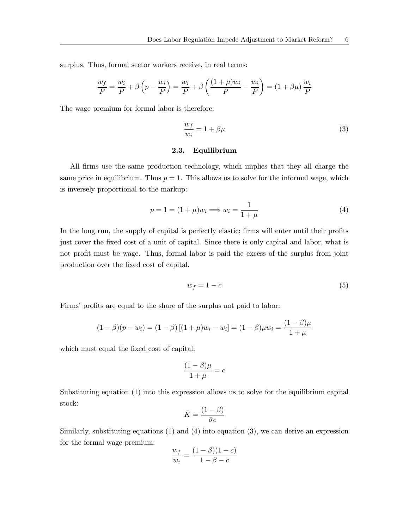surplus. Thus, formal sector workers receive, in real terms:

$$
\frac{w_f}{P} = \frac{w_i}{P} + \beta \left( p - \frac{w_i}{P} \right) = \frac{w_i}{P} + \beta \left( \frac{(1+\mu)w_i}{P} - \frac{w_i}{P} \right) = (1 + \beta \mu) \frac{w_i}{P}
$$

The wage premium for formal labor is therefore:

$$
\frac{w_f}{w_i} = 1 + \beta \mu \tag{3}
$$

## 2.3. Equilibrium

All firms use the same production technology, which implies that they all charge the same price in equilibrium. Thus  $p = 1$ . This allows us to solve for the informal wage, which is inversely proportional to the markup:

$$
p = 1 = (1 + \mu)w_i \Longrightarrow w_i = \frac{1}{1 + \mu} \tag{4}
$$

In the long run, the supply of capital is perfectly elastic; firms will enter until their profits just cover the fixed cost of a unit of capital. Since there is only capital and labor, what is not profit must be wage. Thus, formal labor is paid the excess of the surplus from joint production over the fixed cost of capital.

$$
w_f = 1 - c \tag{5}
$$

Firms' profits are equal to the share of the surplus not paid to labor:

$$
(1 - \beta)(p - w_i) = (1 - \beta)[(1 + \mu)w_i - w_i] = (1 - \beta)\mu w_i = \frac{(1 - \beta)\mu}{1 + \mu}
$$

which must equal the fixed cost of capital:

$$
\frac{(1-\beta)\mu}{1+\mu} = c
$$

Substituting equation (1) into this expression allows us to solve for the equilibrium capital stock:

$$
\bar{K} = \frac{(1 - \beta)}{\bar{\sigma}c}
$$

Similarly, substituting equations (1) and (4) into equation (3), we can derive an expression for the formal wage premium:

$$
\frac{w_f}{w_i} = \frac{(1-\beta)(1-c)}{1-\beta-c}
$$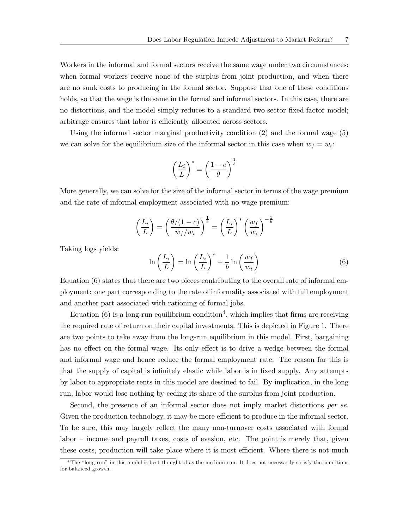Workers in the informal and formal sectors receive the same wage under two circumstances: when formal workers receive none of the surplus from joint production, and when there are no sunk costs to producing in the formal sector. Suppose that one of these conditions holds, so that the wage is the same in the formal and informal sectors. In this case, there are no distortions, and the model simply reduces to a standard two-sector fixed-factor model; arbitrage ensures that labor is efficiently allocated across sectors.

Using the informal sector marginal productivity condition (2) and the formal wage (5) we can solve for the equilibrium size of the informal sector in this case when  $w_f = w_i$ .

$$
\left(\frac{L_i}{L}\right)^* = \left(\frac{1-c}{\theta}\right)^{\frac{1}{b}}
$$

More generally, we can solve for the size of the informal sector in terms of the wage premium and the rate of informal employment associated with no wage premium:

$$
\left(\frac{L_i}{L}\right) = \left(\frac{\theta/(1-c)}{w_f/w_i}\right)^{\frac{1}{b}} = \left(\frac{L_i}{L}\right)^* \left(\frac{w_f}{w_i}\right)^{-\frac{1}{b}}
$$

Taking logs yields:

$$
\ln\left(\frac{L_i}{L}\right) = \ln\left(\frac{L_i}{L}\right)^* - \frac{1}{b}\ln\left(\frac{w_f}{w_i}\right) \tag{6}
$$

Equation (6) states that there are two pieces contributing to the overall rate of informal employment: one part corresponding to the rate of informality associated with full employment and another part associated with rationing of formal jobs.

Equation  $(6)$  is a long-run equilibrium condition<sup>4</sup>, which implies that firms are receiving the required rate of return on their capital investments. This is depicted in Figure 1. There are two points to take away from the long-run equilibrium in this model. First, bargaining has no effect on the formal wage. Its only effect is to drive a wedge between the formal and informal wage and hence reduce the formal employment rate. The reason for this is that the supply of capital is infinitely elastic while labor is in fixed supply. Any attempts by labor to appropriate rents in this model are destined to fail. By implication, in the long run, labor would lose nothing by ceding its share of the surplus from joint production.

Second, the presence of an informal sector does not imply market distortions per se. Given the production technology, it may be more efficient to produce in the informal sector. To be sure, this may largely reflect the many non-turnover costs associated with formal labor — income and payroll taxes, costs of evasion, etc. The point is merely that, given these costs, production will take place where it is most efficient. Where there is not much

 $4$ The "long run" in this model is best thought of as the medium run. It does not necessarily satisfy the conditions for balanced growth.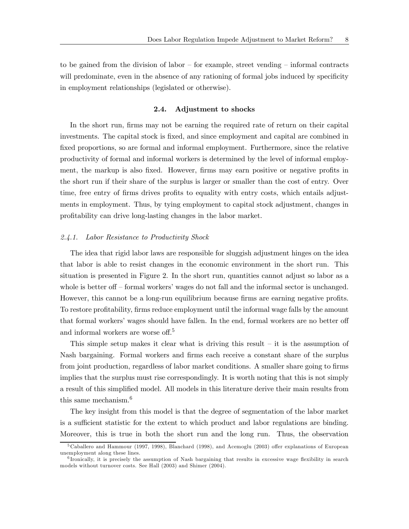to be gained from the division of labor — for example, street vending — informal contracts will predominate, even in the absence of any rationing of formal jobs induced by specificity in employment relationships (legislated or otherwise).

### 2.4. Adjustment to shocks

In the short run, firms may not be earning the required rate of return on their capital investments. The capital stock is fixed, and since employment and capital are combined in fixed proportions, so are formal and informal employment. Furthermore, since the relative productivity of formal and informal workers is determined by the level of informal employment, the markup is also fixed. However, firms may earn positive or negative profits in the short run if their share of the surplus is larger or smaller than the cost of entry. Over time, free entry of firms drives profits to equality with entry costs, which entails adjustments in employment. Thus, by tying employment to capital stock adjustment, changes in profitability can drive long-lasting changes in the labor market.

#### 2.4.1. Labor Resistance to Productivity Shock

The idea that rigid labor laws are responsible for sluggish adjustment hinges on the idea that labor is able to resist changes in the economic environment in the short run. This situation is presented in Figure 2. In the short run, quantities cannot adjust so labor as a whole is better of  $\sim$  formal workers' wages do not fall and the informal sector is unchanged. However, this cannot be a long-run equilibrium because firms are earning negative profits. To restore profitability, firms reduce employment until the informal wage falls by the amount that formal workers' wages should have fallen. In the end, formal workers are no better off and informal workers are worse off. 5

This simple setup makes it clear what is driving this result  $-$  it is the assumption of Nash bargaining. Formal workers and firms each receive a constant share of the surplus from joint production, regardless of labor market conditions. A smaller share going to firms implies that the surplus must rise correspondingly. It is worth noting that this is not simply a result of this simplified model. All models in this literature derive their main results from this same mechanism.<sup>6</sup>

The key insight from this model is that the degree of segmentation of the labor market is a sufficient statistic for the extent to which product and labor regulations are binding. Moreover, this is true in both the short run and the long run. Thus, the observation

<sup>5</sup>Caballero and Hammour (1997, 1998), Blanchard (1998), and Acemoglu (2003) offer explanations of European unemployment along these lines.

 $6$  Ironically, it is precisely the assumption of Nash bargaining that results in excessive wage flexibility in search models without turnover costs. See Hall (2003) and Shimer (2004).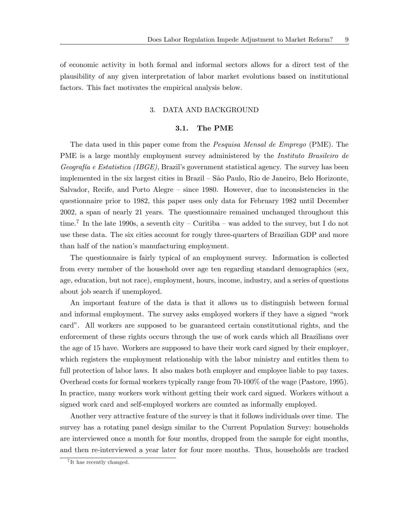of economic activity in both formal and informal sectors allows for a direct test of the plausibility of any given interpretation of labor market evolutions based on institutional factors. This fact motivates the empirical analysis below.

## 3. DATA AND BACKGROUND

#### 3.1. The PME

The data used in this paper come from the Pesquisa Mensal de Emprego (PME). The PME is a large monthly employment survey administered by the *Instituto Brasileiro de* Geografía e Estatistica (IBGE), Brazil's government statistical agency. The survey has been implemented in the six largest cities in Brazil — São Paulo, Rio de Janeiro, Belo Horizonte, Salvador, Recife, and Porto Alegre — since 1980. However, due to inconsistencies in the questionnaire prior to 1982, this paper uses only data for February 1982 until December 2002, a span of nearly 21 years. The questionnaire remained unchanged throughout this time.<sup>7</sup> In the late 1990s, a seventh city – Curitiba – was added to the survey, but I do not use these data. The six cities account for rougly three-quarters of Brazilian GDP and more than half of the nation's manufacturing employment.

The questionnaire is fairly typical of an employment survey. Information is collected from every member of the household over age ten regarding standard demographics (sex, age, education, but not race), employment, hours, income, industry, and a series of questions about job search if unemployed.

An important feature of the data is that it allows us to distinguish between formal and informal employment. The survey asks employed workers if they have a signed "work card". All workers are supposed to be guaranteed certain constitutional rights, and the enforcement of these rights occurs through the use of work cards which all Brazilians over the age of 15 have. Workers are supposed to have their work card signed by their employer, which registers the employment relationship with the labor ministry and entitles them to full protection of labor laws. It also makes both employer and employee liable to pay taxes. Overhead costs for formal workers typically range from 70-100% of the wage (Pastore, 1995). In practice, many workers work without getting their work card signed. Workers without a signed work card and self-employed workers are counted as informally employed.

Another very attractive feature of the survey is that it follows individuals over time. The survey has a rotating panel design similar to the Current Population Survey: households are interviewed once a month for four months, dropped from the sample for eight months, and then re-interviewed a year later for four more months. Thus, households are tracked

<sup>&</sup>lt;sup>7</sup>It has recently changed.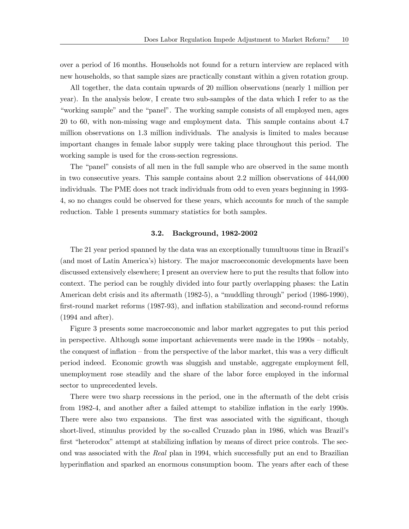over a period of 16 months. Households not found for a return interview are replaced with new households, so that sample sizes are practically constant within a given rotation group.

All together, the data contain upwards of 20 million observations (nearly 1 million per year). In the analysis below, I create two sub-samples of the data which I refer to as the "working sample" and the "panel". The working sample consists of all employed men, ages 20 to 60, with non-missing wage and employment data. This sample contains about 4.7 million observations on 1.3 million individuals. The analysis is limited to males because important changes in female labor supply were taking place throughout this period. The working sample is used for the cross-section regressions.

The "panel" consists of all men in the full sample who are observed in the same month in two consecutive years. This sample contains about 2.2 million observations of 444,000 individuals. The PME does not track individuals from odd to even years beginning in 1993- 4, so no changes could be observed for these years, which accounts for much of the sample reduction. Table 1 presents summary statistics for both samples.

#### 3.2. Background, 1982-2002

The 21 year period spanned by the data was an exceptionally tumultuous time in Brazil's (and most of Latin America's) history. The major macroeconomic developments have been discussed extensively elsewhere; I present an overview here to put the results that follow into context. The period can be roughly divided into four partly overlapping phases: the Latin American debt crisis and its aftermath (1982-5), a "muddling through" period (1986-1990), first-round market reforms (1987-93), and inflation stabilization and second-round reforms (1994 and after).

Figure 3 presents some macroeconomic and labor market aggregates to put this period in perspective. Although some important achievements were made in the 1990s — notably, the conquest of inflation — from the perspective of the labor market, this was a very difficult period indeed. Economic growth was sluggish and unstable, aggregate employment fell, unemployment rose steadily and the share of the labor force employed in the informal sector to unprecedented levels.

There were two sharp recessions in the period, one in the aftermath of the debt crisis from 1982-4, and another after a failed attempt to stabilize inflation in the early 1990s. There were also two expansions. The first was associated with the significant, though short-lived, stimulus provided by the so-called Cruzado plan in 1986, which was Brazil's first "heterodox" attempt at stabilizing inflation by means of direct price controls. The second was associated with the Real plan in 1994, which successfully put an end to Brazilian hyperinflation and sparked an enormous consumption boom. The years after each of these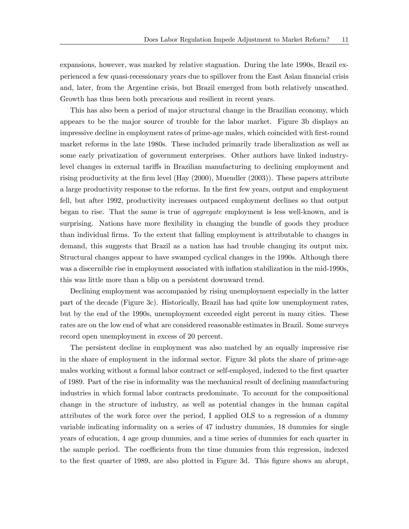expansions, however, was marked by relative stagnation. During the late 1990s, Brazil experienced a few quasi-recessionary years due to spillover from the East Asian financial crisis and, later, from the Argentine crisis, but Brazil emerged from both relatively unscathed. Growth has thus been both precarious and resilient in recent years.

This has also been a period of major structural change in the Brazilian economy, which appears to be the major source of trouble for the labor market. Figure 3b displays an impressive decline in employment rates of prime-age males, which coincided with first-round market reforms in the late 1980s. These included primarily trade liberalization as well as some early privatization of government enterprises. Other authors have linked industrylevel changes in external tariffs in Brazilian manufacturing to declining employment and rising productivity at the firm level (Hay (2000), Muendler (2003)). These papers attribute a large productivity response to the reforms. In the first few years, output and employment fell, but after 1992, productivity increases outpaced employment declines so that output began to rise. That the same is true of *aggregate* employment is less well-known, and is surprising. Nations have more flexibility in changing the bundle of goods they produce than individual firms. To the extent that falling employment is attributable to changes in demand, this suggests that Brazil as a nation has had trouble changing its output mix. Structural changes appear to have swamped cyclical changes in the 1990s. Although there was a discernible rise in employment associated with inflation stabilization in the mid-1990s, this was little more than a blip on a persistent downward trend.

Declining employment was accompanied by rising unemployment especially in the latter part of the decade (Figure 3c). Historically, Brazil has had quite low unemployment rates, but by the end of the 1990s, unemployment exceeded eight percent in many cities. These rates are on the low end of what are considered reasonable estimates in Brazil. Some surveys record open unemployment in excess of 20 percent.

The persistent decline in employment was also matched by an equally impressive rise in the share of employment in the informal sector. Figure 3d plots the share of prime-age males working without a formal labor contract or self-employed, indexed to the first quarter of 1989. Part of the rise in informality was the mechanical result of declining manufacturing industries in which formal labor contracts predominate. To account for the compositional change in the structure of industry, as well as potential changes in the human capital attributes of the work force over the period, I applied OLS to a regression of a dummy variable indicating informality on a series of 47 industry dummies, 18 dummies for single years of education, 4 age group dummies, and a time series of dummies for each quarter in the sample period. The coefficients from the time dummies from this regression, indexed to the first quarter of 1989, are also plotted in Figure 3d. This figure shows an abrupt,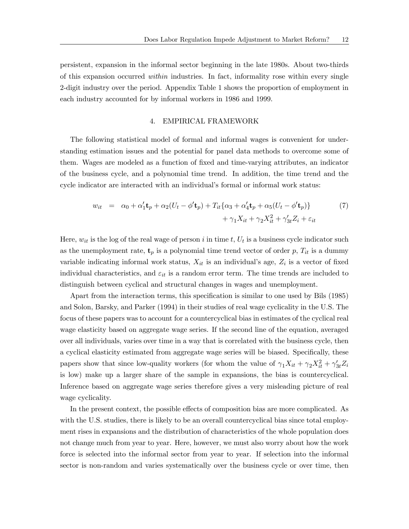persistent, expansion in the informal sector beginning in the late 1980s. About two-thirds of this expansion occurred within industries. In fact, informality rose within every single 2-digit industry over the period. Appendix Table 1 shows the proportion of employment in each industry accounted for by informal workers in 1986 and 1999.

## 4. EMPIRICAL FRAMEWORK

The following statistical model of formal and informal wages is convenient for understanding estimation issues and the potential for panel data methods to overcome some of them. Wages are modeled as a function of fixed and time-varying attributes, an indicator of the business cycle, and a polynomial time trend. In addition, the time trend and the cycle indicator are interacted with an individual's formal or informal work status:

$$
w_{it} = \alpha_0 + \alpha_1' \mathbf{t}_p + \alpha_2 (U_t - \phi' \mathbf{t}_p) + T_{it} \{ \alpha_3 + \alpha_4' \mathbf{t}_p + \alpha_5 (U_t - \phi' \mathbf{t}_p) \}
$$
(7)  
+  $\gamma_1 X_{it} + \gamma_2 X_{it}^2 + \gamma_{3t}' Z_i + \varepsilon_{it}$ 

Here,  $w_{it}$  is the log of the real wage of person i in time t,  $U_t$  is a business cycle indicator such as the unemployment rate,  $\mathbf{t}_p$  is a polynomial time trend vector of order p,  $T_{it}$  is a dummy variable indicating informal work status,  $X_{it}$  is an individual's age,  $Z_i$  is a vector of fixed individual characteristics, and  $\varepsilon_{it}$  is a random error term. The time trends are included to distinguish between cyclical and structural changes in wages and unemployment.

Apart from the interaction terms, this specification is similar to one used by Bils (1985) and Solon, Barsky, and Parker (1994) in their studies of real wage cyclicality in the U.S. The focus of these papers was to account for a countercyclical bias in estimates of the cyclical real wage elasticity based on aggregate wage series. If the second line of the equation, averaged over all individuals, varies over time in a way that is correlated with the business cycle, then a cyclical elasticity estimated from aggregate wage series will be biased. Specifically, these papers show that since low-quality workers (for whom the value of  $\gamma_1 X_{it} + \gamma_2 X_{it}^2 + \gamma_{3t}' Z_{it}$ is low) make up a larger share of the sample in expansions, the bias is countercyclical. Inference based on aggregate wage series therefore gives a very misleading picture of real wage cyclicality.

In the present context, the possible effects of composition bias are more complicated. As with the U.S. studies, there is likely to be an overall countercyclical bias since total employment rises in expansions and the distribution of characteristics of the whole population does not change much from year to year. Here, however, we must also worry about how the work force is selected into the informal sector from year to year. If selection into the informal sector is non-random and varies systematically over the business cycle or over time, then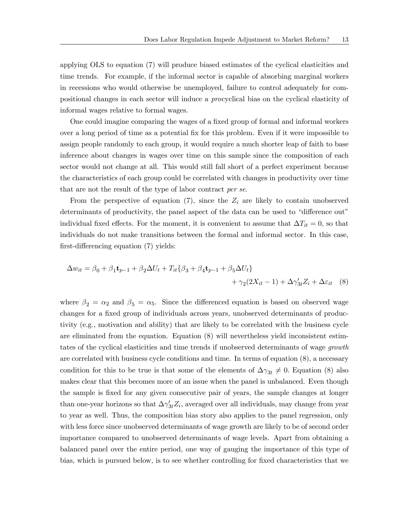applying OLS to equation (7) will produce biased estimates of the cyclical elasticities and time trends. For example, if the informal sector is capable of absorbing marginal workers in recessions who would otherwise be unemployed, failure to control adequately for compositional changes in each sector will induce a procyclical bias on the cyclical elasticity of informal wages relative to formal wages.

One could imagine comparing the wages of a fixed group of formal and informal workers over a long period of time as a potential fix for this problem. Even if it were impossible to assign people randomly to each group, it would require a much shorter leap of faith to base inference about changes in wages over time on this sample since the composition of each sector would not change at all. This would still fall short of a perfect experiment because the characteristics of each group could be correlated with changes in productivity over time that are not the result of the type of labor contract *per se*.

From the perspective of equation (7), since the  $Z_i$  are likely to contain unobserved determinants of productivity, the panel aspect of the data can be used to "difference out" individual fixed effects. For the moment, it is convenient to assume that  $\Delta T_{it} = 0$ , so that individuals do not make transitions between the formal and informal sector. In this case, first-differencing equation (7) yields:

$$
\Delta w_{it} = \beta_0 + \beta_1 \mathbf{t}_{p-1} + \beta_2 \Delta U_t + T_{it} \{ \beta_3 + \beta_4 \mathbf{t}_{p-1} + \beta_5 \Delta U_t \} + \gamma_2 (2X_{it} - 1) + \Delta \gamma'_{3t} Z_i + \Delta \varepsilon_{it} \quad (8)
$$

where  $\beta_2 = \alpha_2$  and  $\beta_5 = \alpha_5$ . Since the differenced equation is based on observed wage changes for a fixed group of individuals across years, unobserved determinants of productivity (e.g., motivation and ability) that are likely to be correlated with the business cycle are eliminated from the equation. Equation (8) will nevertheless yield inconsistent estimtates of the cyclical elasticities and time trends if unobserved determinants of wage *growth* are correlated with business cycle conditions and time. In terms of equation (8), a necessary condition for this to be true is that some of the elements of  $\Delta\gamma_{3t} \neq 0$ . Equation (8) also makes clear that this becomes more of an issue when the panel is unbalanced. Even though the sample is fixed for any given consecutive pair of years, the sample changes at longer than one-year horizons so that  $\Delta \gamma'_{3t} Z_i$ , averaged over all individuals, may change from year to year as well. Thus, the composition bias story also applies to the panel regression, only with less force since unobserved determinants of wage growth are likely to be of second order importance compared to unobserved determinants of wage levels. Apart from obtaining a balanced panel over the entire period, one way of gauging the importance of this type of bias, which is pursued below, is to see whether controlling for fixed characteristics that we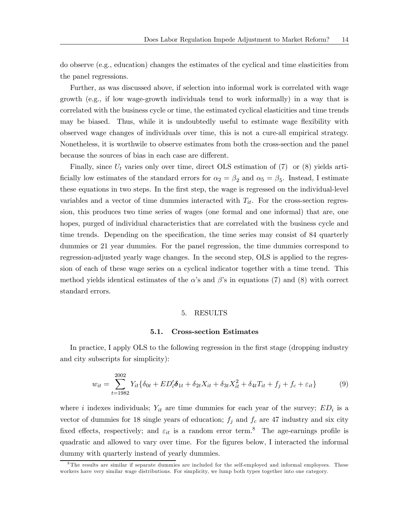do observe (e.g., education) changes the estimates of the cyclical and time elasticities from the panel regressions.

Further, as was discussed above, if selection into informal work is correlated with wage growth (e.g., if low wage-growth individuals tend to work informally) in a way that is correlated with the business cycle or time, the estimated cyclical elasticities and time trends may be biased. Thus, while it is undoubtedly useful to estimate wage flexibility with observed wage changes of individuals over time, this is not a cure-all empirical strategy. Nonetheless, it is worthwile to observe estimates from both the cross-section and the panel because the sources of bias in each case are different.

Finally, since  $U_t$  varies only over time, direct OLS estimation of (7) or (8) yields artificially low estimates of the standard errors for  $\alpha_2 = \beta_2$  and  $\alpha_5 = \beta_5$ . Instead, I estimate these equations in two steps. In the first step, the wage is regressed on the individual-level variables and a vector of time dummies interacted with  $T_{it}$ . For the cross-section regression, this produces two time series of wages (one formal and one informal) that are, one hopes, purged of individual characteristics that are correlated with the business cycle and time trends. Depending on the specification, the time series may consist of 84 quarterly dummies or 21 year dummies. For the panel regression, the time dummies correspond to regression-adjusted yearly wage changes. In the second step, OLS is applied to the regression of each of these wage series on a cyclical indicator together with a time trend. This method yields identical estimates of the  $\alpha$ 's and  $\beta$ 's in equations (7) and (8) with correct standard errors.

#### 5. RESULTS

#### 5.1. Cross-section Estimates

In practice, I apply OLS to the following regression in the first stage (dropping industry and city subscripts for simplicity):

$$
w_{it} = \sum_{t=1982}^{2002} Y_{it} \{ \delta_{0t} + ED_i^{\prime} \delta_{1t} + \delta_{2t} X_{it} + \delta_{3t} X_{it}^2 + \delta_{4t} T_{it} + f_j + f_c + \varepsilon_{it} \}
$$
(9)

where i indexes individuals;  $Y_{it}$  are time dummies for each year of the survey;  $ED_i$  is a vector of dummies for 18 single years of education;  $f_j$  and  $f_c$  are 47 industry and six city fixed effects, respectively; and  $\varepsilon_{it}$  is a random error term.<sup>8</sup> The age-earnings profile is quadratic and allowed to vary over time. For the figures below, I interacted the informal dummy with quarterly instead of yearly dummies.

<sup>&</sup>lt;sup>8</sup>The results are similar if separate dummies are included for the self-employed and informal employees. These workers have very similar wage distributions. For simplicity, we lump both types together into one category.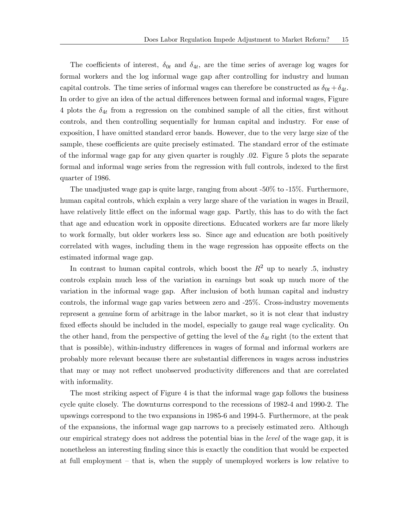The coefficients of interest,  $\delta_{0t}$  and  $\delta_{4t}$ , are the time series of average log wages for formal workers and the log informal wage gap after controlling for industry and human capital controls. The time series of informal wages can therefore be constructed as  $\delta_{0t} + \delta_{4t}$ . In order to give an idea of the actual differences between formal and informal wages, Figure 4 plots the  $\delta_{4t}$  from a regression on the combined sample of all the cities, first without controls, and then controlling sequentially for human capital and industry. For ease of exposition, I have omitted standard error bands. However, due to the very large size of the sample, these coefficients are quite precisely estimated. The standard error of the estimate of the informal wage gap for any given quarter is roughly .02. Figure 5 plots the separate formal and informal wage series from the regression with full controls, indexed to the first quarter of 1986.

The unadjusted wage gap is quite large, ranging from about -50% to -15%. Furthermore, human capital controls, which explain a very large share of the variation in wages in Brazil, have relatively little effect on the informal wage gap. Partly, this has to do with the fact that age and education work in opposite directions. Educated workers are far more likely to work formally, but older workers less so. Since age and education are both positively correlated with wages, including them in the wage regression has opposite effects on the estimated informal wage gap.

In contrast to human capital controls, which boost the  $R^2$  up to nearly .5, industry controls explain much less of the variation in earnings but soak up much more of the variation in the informal wage gap. After inclusion of both human capital and industry controls, the informal wage gap varies between zero and -25%. Cross-industry movements represent a genuine form of arbitrage in the labor market, so it is not clear that industry fixed effects should be included in the model, especially to gauge real wage cyclicality. On the other hand, from the perspective of getting the level of the  $\delta_{4t}$  right (to the extent that that is possible), within-industry differences in wages of formal and informal workers are probably more relevant because there are substantial differences in wages across industries that may or may not reflect unobserved productivity differences and that are correlated with informality.

The most striking aspect of Figure 4 is that the informal wage gap follows the business cycle quite closely. The downturns correspond to the recessions of 1982-4 and 1990-2. The upswings correspond to the two expansions in 1985-6 and 1994-5. Furthermore, at the peak of the expansions, the informal wage gap narrows to a precisely estimated zero. Although our empirical strategy does not address the potential bias in the level of the wage gap, it is nonetheless an interesting finding since this is exactly the condition that would be expected at full employment — that is, when the supply of unemployed workers is low relative to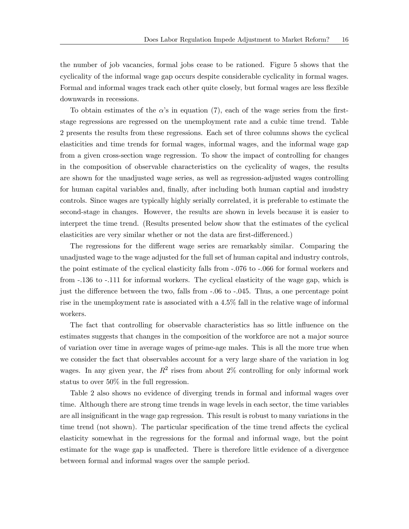the number of job vacancies, formal jobs cease to be rationed. Figure 5 shows that the cyclicality of the informal wage gap occurs despite considerable cyclicality in formal wages. Formal and informal wages track each other quite closely, but formal wages are less flexible downwards in recessions.

To obtain estimates of the  $\alpha$ 's in equation (7), each of the wage series from the firststage regressions are regressed on the unemployment rate and a cubic time trend. Table 2 presents the results from these regressions. Each set of three columns shows the cyclical elasticities and time trends for formal wages, informal wages, and the informal wage gap from a given cross-section wage regression. To show the impact of controlling for changes in the composition of observable characteristics on the cyclicality of wages, the results are shown for the unadjusted wage series, as well as regression-adjusted wages controlling for human capital variables and, finally, after including both human captial and inudstry controls. Since wages are typically highly serially correlated, it is preferable to estimate the second-stage in changes. However, the results are shown in levels because it is easier to interpret the time trend. (Results presented below show that the estimates of the cyclical elasticities are very similar whether or not the data are first-differenced.)

The regressions for the different wage series are remarkably similar. Comparing the unadjusted wage to the wage adjusted for the full set of human capital and industry controls, the point estimate of the cyclical elasticity falls from -.076 to -.066 for formal workers and from -.136 to -.111 for informal workers. The cyclical elasticity of the wage gap, which is just the difference between the two, falls from -.06 to -.045. Thus, a one percentage point rise in the unemployment rate is associated with a 4.5% fall in the relative wage of informal workers.

The fact that controlling for observable characteristics has so little influence on the estimates suggests that changes in the composition of the workforce are not a major source of variation over time in average wages of prime-age males. This is all the more true when we consider the fact that observables account for a very large share of the variation in log wages. In any given year, the  $R^2$  rises from about 2% controlling for only informal work status to over 50% in the full regression.

Table 2 also shows no evidence of diverging trends in formal and informal wages over time. Although there are strong time trends in wage levels in each sector, the time variables are all insignificant in the wage gap regression. This result is robust to many variations in the time trend (not shown). The particular specification of the time trend affects the cyclical elasticity somewhat in the regressions for the formal and informal wage, but the point estimate for the wage gap is unaffected. There is therefore little evidence of a divergence between formal and informal wages over the sample period.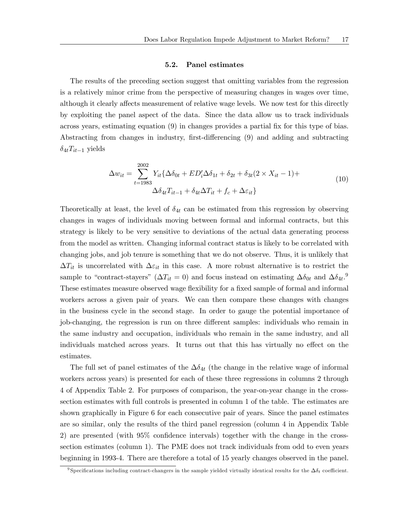#### 5.2. Panel estimates

The results of the preceding section suggest that omitting variables from the regression is a relatively minor crime from the perspective of measuring changes in wages over time, although it clearly affects measurement of relative wage levels. We now test for this directly by exploiting the panel aspect of the data. Since the data allow us to track individuals across years, estimating equation (9) in changes provides a partial fix for this type of bias. Abstracting from changes in industry, first-differencing (9) and adding and subtracting  $\delta_{4t}T_{it-1}$  yields

$$
\Delta w_{it} = \sum_{t=1983}^{2002} Y_{it} \{ \Delta \delta_{0t} + ED_{i}^{\prime} \Delta \delta_{1t} + \delta_{2t} + \delta_{3t} (2 \times X_{it} - 1) + \Delta \delta_{4t} T_{it-1} + \delta_{4t} \Delta T_{it} + f_c + \Delta \varepsilon_{it} \}
$$
\n
$$
(10)
$$

Theoretically at least, the level of  $\delta_{4t}$  can be estimated from this regression by observing changes in wages of individuals moving between formal and informal contracts, but this strategy is likely to be very sensitive to deviations of the actual data generating process from the model as written. Changing informal contract status is likely to be correlated with changing jobs, and job tenure is something that we do not observe. Thus, it is unlikely that  $\Delta T_{it}$  is uncorrelated with  $\Delta \varepsilon_{it}$  in this case. A more robust alternative is to restrict the sample to "contract-stayers" ( $\Delta T_{it} = 0$ ) and focus instead on estimating  $\Delta \delta_{0t}$  and  $\Delta \delta_{4t}$ .<sup>9</sup> These estimates measure observed wage flexibility for a fixed sample of formal and informal workers across a given pair of years. We can then compare these changes with changes in the business cycle in the second stage. In order to gauge the potential importance of job-changing, the regression is run on three different samples: individuals who remain in the same industry and occupation, individuals who remain in the same industry, and all individuals matched across years. It turns out that this has virtually no effect on the estimates.

The full set of panel estimates of the  $\Delta \delta_{4t}$  (the change in the relative wage of informal workers across years) is presented for each of these three regressions in columns 2 through 4 of Appendix Table 2. For purposes of comparison, the year-on-year change in the crosssection estimates with full controls is presented in column 1 of the table. The estimates are shown graphically in Figure 6 for each consecutive pair of years. Since the panel estimates are so similar, only the results of the third panel regression (column 4 in Appendix Table 2) are presented (with 95% confidence intervals) together with the change in the crosssection estimates (column 1). The PME does not track individuals from odd to even years beginning in 1993-4. There are therefore a total of 15 yearly changes observed in the panel.

<sup>&</sup>lt;sup>9</sup> Specifications including contract-changers in the sample yielded virtually identical results for the  $\Delta \delta_t$  coefficient.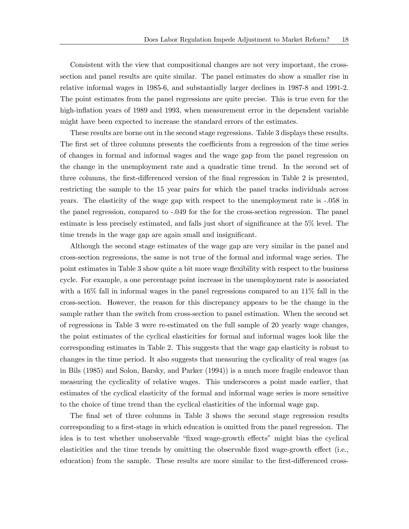Consistent with the view that compositional changes are not very important, the crosssection and panel results are quite similar. The panel estimates do show a smaller rise in relative informal wages in 1985-6, and substantially larger declines in 1987-8 and 1991-2. The point estimates from the panel regressions are quite precise. This is true even for the high-inflation years of 1989 and 1993, when measurement error in the dependent variable might have been expected to increase the standard errors of the estimates.

These results are borne out in the second stage regressions. Table 3 displays these results. The first set of three columns presents the coefficients from a regression of the time series of changes in formal and informal wages and the wage gap from the panel regression on the change in the unemployment rate and a quadratic time trend. In the second set of three columns, the first-differenced version of the final regression in Table 2 is presented, restricting the sample to the 15 year pairs for which the panel tracks individuals across years. The elasticity of the wage gap with respect to the unemployment rate is -.058 in the panel regression, compared to -.049 for the for the cross-section regression. The panel estimate is less precisely estimated, and falls just short of significance at the 5% level. The time trends in the wage gap are again small and insignificant.

Although the second stage estimates of the wage gap are very similar in the panel and cross-section regressions, the same is not true of the formal and informal wage series. The point estimates in Table 3 show quite a bit more wage flexibility with respect to the business cycle. For example, a one percentage point increase in the unemployment rate is associated with a 16% fall in informal wages in the panel regressions compared to an 11% fall in the cross-section. However, the reason for this discrepancy appears to be the change in the sample rather than the switch from cross-section to panel estimation. When the second set of regressions in Table 3 were re-estimated on the full sample of 20 yearly wage changes, the point estimates of the cyclical elasticities for formal and informal wages look like the corresponding estimates in Table 2. This suggests that the wage gap elasticity is robust to changes in the time period. It also suggests that measuring the cyclicality of real wages (as in Bils (1985) and Solon, Barsky, and Parker (1994)) is a much more fragile endeavor than measuring the cyclicality of relative wages. This underscores a point made earlier, that estimates of the cyclical elasticity of the formal and informal wage series is more sensitive to the choice of time trend than the cyclical elasticities of the informal wage gap.

The final set of three columns in Table 3 shows the second stage regression results corresponding to a first-stage in which education is omitted from the panel regression. The idea is to test whether unobservable "fixed wage-growth effects" might bias the cyclical elasticities and the time trends by omitting the observable fixed wage-growth effect (i.e., education) from the sample. These results are more similar to the first-differenced cross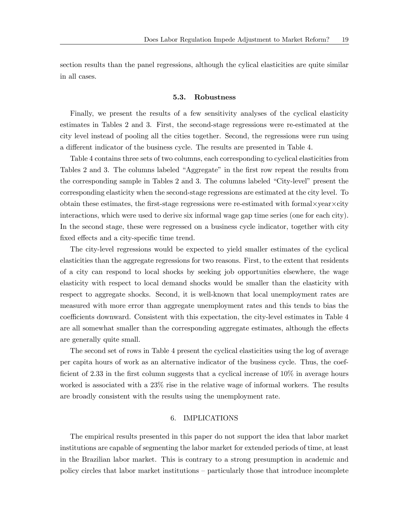section results than the panel regressions, although the cylical elasticities are quite similar in all cases.

#### 5.3. Robustness

Finally, we present the results of a few sensitivity analyses of the cyclical elasticity estimates in Tables 2 and 3. First, the second-stage regressions were re-estimated at the city level instead of pooling all the cities together. Second, the regressions were run using a different indicator of the business cycle. The results are presented in Table 4.

Table 4 contains three sets of two columns, each corresponding to cyclical elasticities from Tables 2 and 3. The columns labeled "Aggregate" in the first row repeat the results from the corresponding sample in Tables 2 and 3. The columns labeled "City-level" present the corresponding elasticity when the second-stage regressions are estimated at the city level. To obtain these estimates, the first-stage regressions were re-estimated with formal×year×city interactions, which were used to derive six informal wage gap time series (one for each city). In the second stage, these were regressed on a business cycle indicator, together with city fixed effects and a city-specific time trend.

The city-level regressions would be expected to yield smaller estimates of the cyclical elasticities than the aggregate regressions for two reasons. First, to the extent that residents of a city can respond to local shocks by seeking job opportunities elsewhere, the wage elasticity with respect to local demand shocks would be smaller than the elasticity with respect to aggregate shocks. Second, it is well-known that local unemployment rates are measured with more error than aggregate unemployment rates and this tends to bias the coefficients downward. Consistent with this expectation, the city-level estimates in Table 4 are all somewhat smaller than the corresponding aggregate estimates, although the effects are generally quite small.

The second set of rows in Table 4 present the cyclical elasticities using the log of average per capita hours of work as an alternative indicator of the business cycle. Thus, the coefficient of 2.33 in the first column suggests that a cyclical increase of 10% in average hours worked is associated with a 23% rise in the relative wage of informal workers. The results are broadly consistent with the results using the unemployment rate.

## 6. IMPLICATIONS

The empirical results presented in this paper do not support the idea that labor market institutions are capable of segmenting the labor market for extended periods of time, at least in the Brazilian labor market. This is contrary to a strong presumption in academic and policy circles that labor market institutions — particularly those that introduce incomplete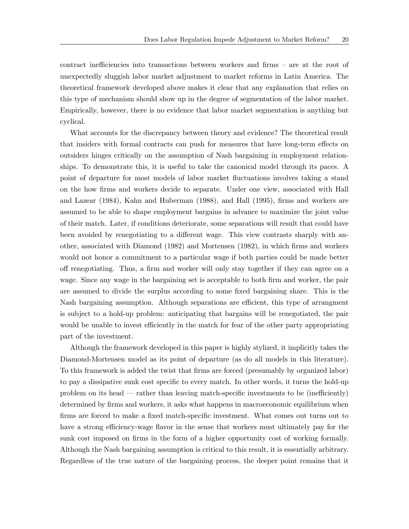contract inefficiencies into transactions between workers and firms — are at the root of unexpectedly sluggish labor market adjustment to market reforms in Latin America. The theoretical framework developed above makes it clear that any explanation that relies on this type of mechanism should show up in the degree of segmentation of the labor market. Empirically, however, there is no evidence that labor market segmentation is anything but cyclical.

What accounts for the discrepancy between theory and evidence? The theoretical result that insiders with formal contracts can push for measures that have long-term effects on outsiders hinges critically on the assumption of Nash bargaining in employment relationships. To demonstrate this, it is useful to take the canonical model through its paces. A point of departure for most models of labor market fluctuations involves taking a stand on the how firms and workers decide to separate. Under one view, associated with Hall and Lazear (1984), Kahn and Huberman (1988), and Hall (1995), firms and workers are assumed to be able to shape employment bargains in advance to maximize the joint value of their match. Later, if conditions deteriorate, some separations will result that could have been avoided by renegotiating to a different wage. This view contrasts sharply with another, associated with Diamond (1982) and Mortensen (1982), in which firms and workers would not honor a commitment to a particular wage if both parties could be made better off renegotiating. Thus, a firm and worker will only stay together if they can agree on a wage. Since any wage in the bargaining set is acceptable to both firm and worker, the pair are assumed to divide the surplus according to some fixed bargaining share. This is the Nash bargaining assumption. Although separations are efficient, this type of arrangment is subject to a hold-up problem: anticipating that bargains will be renegotiated, the pair would be unable to invest efficiently in the match for fear of the other party appropriating part of the investment.

Although the framework developed in this paper is highly stylized, it implicitly takes the Diamond-Mortensen model as its point of departure (as do all models in this literature). To this framework is added the twist that firms are forced (presumably by organized labor) to pay a dissipative sunk cost specific to every match. In other words, it turns the hold-up problem on its head – rather than leaving match-specific investments to be (inefficiently) determined by firms and workers, it asks what happens in macroeconomic equilibrium when firms are forced to make a fixed match-specific investment. What comes out turns out to have a strong efficiency-wage flavor in the sense that workers must ultimately pay for the sunk cost imposed on firms in the form of a higher opportunity cost of working formally. Although the Nash bargaining assumption is critical to this result, it is essentially arbitrary. Regardless of the true nature of the bargaining process, the deeper point remains that it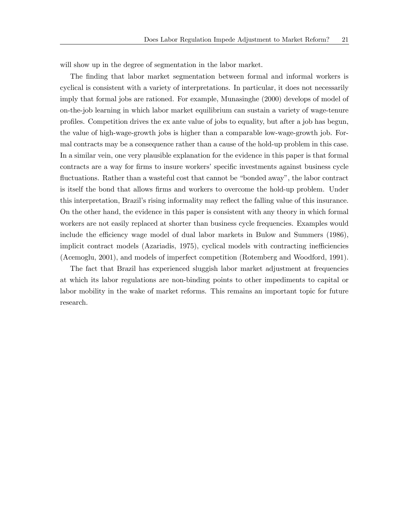will show up in the degree of segmentation in the labor market.

The finding that labor market segmentation between formal and informal workers is cyclical is consistent with a variety of interpretations. In particular, it does not necessarily imply that formal jobs are rationed. For example, Munasinghe (2000) develops of model of on-the-job learning in which labor market equilibrium can sustain a variety of wage-tenure profiles. Competition drives the ex ante value of jobs to equality, but after a job has begun, the value of high-wage-growth jobs is higher than a comparable low-wage-growth job. Formal contracts may be a consequence rather than a cause of the hold-up problem in this case. In a similar vein, one very plausible explanation for the evidence in this paper is that formal contracts are a way for firms to insure workers' specific investments against business cycle fluctuations. Rather than a wasteful cost that cannot be "bonded away", the labor contract is itself the bond that allows firms and workers to overcome the hold-up problem. Under this interpretation, Brazil's rising informality may reflect the falling value of this insurance. On the other hand, the evidence in this paper is consistent with any theory in which formal workers are not easily replaced at shorter than business cycle frequencies. Examples would include the efficiency wage model of dual labor markets in Bulow and Summers (1986), implicit contract models (Azariadis, 1975), cyclical models with contracting inefficiencies (Acemoglu, 2001), and models of imperfect competition (Rotemberg and Woodford, 1991).

The fact that Brazil has experienced sluggish labor market adjustment at frequencies at which its labor regulations are non-binding points to other impediments to capital or labor mobility in the wake of market reforms. This remains an important topic for future research.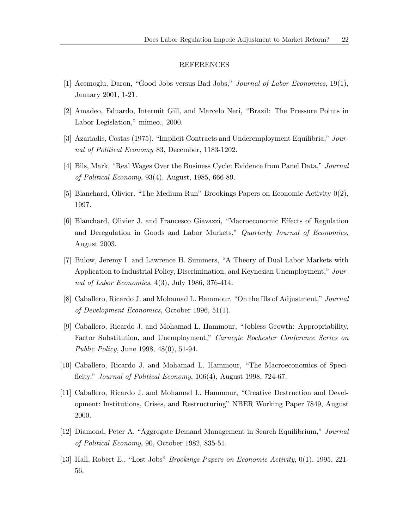#### REFERENCES

- [1] Acemoglu, Daron, "Good Jobs versus Bad Jobs," Journal of Labor Economics, 19(1), January 2001, 1-21.
- [2] Amadeo, Eduardo, Intermit Gill, and Marcelo Neri, "Brazil: The Pressure Points in Labor Legislation," mimeo., 2000.
- [3] Azariadis, Costas (1975). "Implicit Contracts and Underemployment Equilibria," Journal of Political Economy 83, December, 1183-1202.
- [4] Bils, Mark, "Real Wages Over the Business Cycle: Evidence from Panel Data," Journal of Political Economy, 93(4), August, 1985, 666-89.
- [5] Blanchard, Olivier. "The Medium Run" Brookings Papers on Economic Activity 0(2), 1997.
- [6] Blanchard, Olivier J. and Francesco Giavazzi, "Macroeconomic Effects of Regulation and Deregulation in Goods and Labor Markets," Quarterly Journal of Economics, August 2003.
- [7] Bulow, Jeremy I. and Lawrence H. Summers, "A Theory of Dual Labor Markets with Application to Industrial Policy, Discrimination, and Keynesian Unemployment," Journal of Labor Economics, 4(3), July 1986, 376-414.
- [8] Caballero, Ricardo J. and Mohamad L. Hammour, "On the Ills of Adjustment," Journal of Development Economics, October 1996, 51(1).
- [9] Caballero, Ricardo J. and Mohamad L. Hammour, "Jobless Growth: Appropriability, Factor Substitution, and Unemployment," Carnegie Rochester Conference Series on Public Policy, June 1998, 48(0), 51-94.
- [10] Caballero, Ricardo J. and Mohamad L. Hammour, "The Macroeconomics of Specificity," *Journal of Political Economy*, 106(4), August 1998, 724-67.
- [11] Caballero, Ricardo J. and Mohamad L. Hammour, "Creative Destruction and Development: Institutions, Crises, and Restructuring" NBER Working Paper 7849, August 2000.
- [12] Diamond, Peter A. "Aggregate Demand Management in Search Equilibrium," Journal of Political Economy, 90, October 1982, 835-51.
- [13] Hall, Robert E., "Lost Jobs" Brookings Papers on Economic Activity, 0(1), 1995, 221- 56.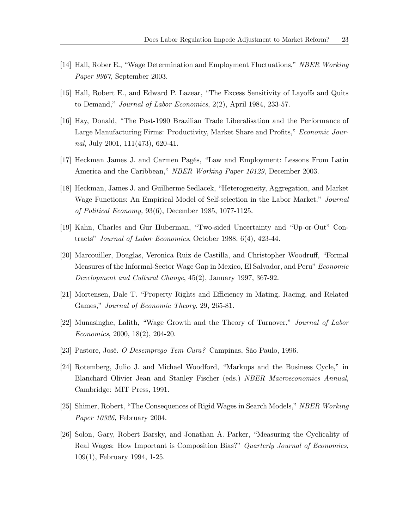- [14] Hall, Rober E., "Wage Determination and Employment Fluctuations," NBER Working Paper 9967, September 2003.
- [15] Hall, Robert E., and Edward P. Lazear, "The Excess Sensitivity of Layoffs and Quits to Demand," Journal of Labor Economics, 2(2), April 1984, 233-57.
- [16] Hay, Donald, "The Post-1990 Brazilian Trade Liberalisation and the Performance of Large Manufacturing Firms: Productivity, Market Share and Profits," Economic Journal, July 2001, 111(473), 620-41.
- [17] Heckman James J. and Carmen Pagés, "Law and Employment: Lessons From Latin America and the Caribbean," NBER Working Paper 10129, December 2003.
- [18] Heckman, James J. and Guilherme Sedlacek, "Heterogeneity, Aggregation, and Market Wage Functions: An Empirical Model of Self-selection in the Labor Market." Journal of Political Economy, 93(6), December 1985, 1077-1125.
- [19] Kahn, Charles and Gur Huberman, "Two-sided Uncertainty and "Up-or-Out" Contracts" Journal of Labor Economics, October 1988, 6(4), 423-44.
- [20] Marcouiller, Douglas, Veronica Ruiz de Castilla, and Christopher Woodruff, "Formal Measures of the Informal-Sector Wage Gap in Mexico, El Salvador, and Peru" Economic Development and Cultural Change, 45(2), January 1997, 367-92.
- [21] Mortensen, Dale T. "Property Rights and Efficiency in Mating, Racing, and Related Games," Journal of Economic Theory, 29, 265-81.
- [22] Munasinghe, Lalith, "Wage Growth and the Theory of Turnover," Journal of Labor Economics, 2000, 18(2), 204-20.
- [23] Pastore, José. O Desemprego Tem Cura? Campinas, São Paulo, 1996.
- [24] Rotemberg, Julio J. and Michael Woodford, "Markups and the Business Cycle," in Blanchard Olivier Jean and Stanley Fischer (eds.) NBER Macroeconomics Annual, Cambridge: MIT Press, 1991.
- [25] Shimer, Robert, "The Consequences of Rigid Wages in Search Models," NBER Working Paper 10326, February 2004.
- [26] Solon, Gary, Robert Barsky, and Jonathan A. Parker, "Measuring the Cyclicality of Real Wages: How Important is Composition Bias?" Quarterly Journal of Economics, 109(1), February 1994, 1-25.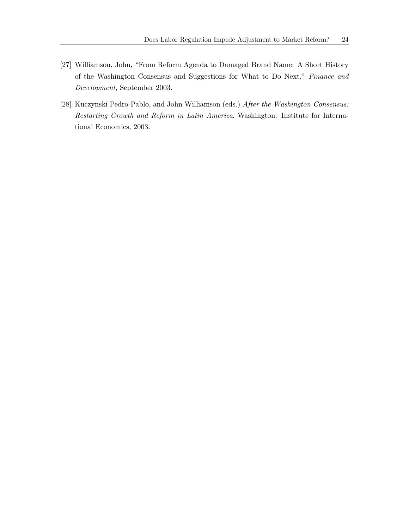- [27] Williamson, John, "From Reform Agenda to Damaged Brand Name: A Short History of the Washington Consensus and Suggestions for What to Do Next," Finance and Development, September 2003.
- [28] Kuczynski Pedro-Pablo, and John Williamson (eds.) After the Washington Consensus: Restarting Growth and Reform in Latin America. Washington: Institute for International Economics, 2003.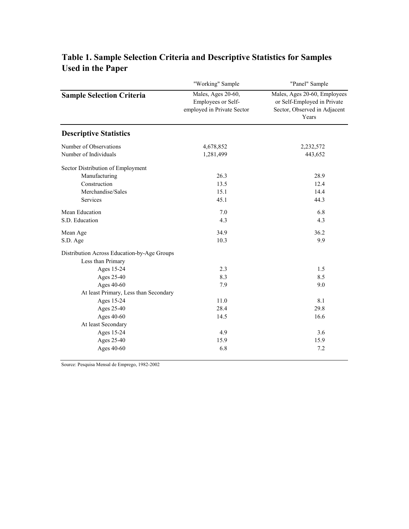|                                                                  | "Working" Sample                                                       | "Panel" Sample                                                                                       |  |  |
|------------------------------------------------------------------|------------------------------------------------------------------------|------------------------------------------------------------------------------------------------------|--|--|
| <b>Sample Selection Criteria</b>                                 | Males, Ages 20-60,<br>Employees or Self-<br>employed in Private Sector | Males, Ages 20-60, Employees<br>or Self-Employed in Private<br>Sector, Observed in Adjacent<br>Years |  |  |
| <b>Descriptive Statistics</b>                                    |                                                                        |                                                                                                      |  |  |
| Number of Observations                                           | 4,678,852                                                              | 2,232,572                                                                                            |  |  |
| Number of Individuals                                            | 1,281,499                                                              | 443,652                                                                                              |  |  |
| Sector Distribution of Employment                                |                                                                        |                                                                                                      |  |  |
| Manufacturing                                                    | 26.3                                                                   | 28.9                                                                                                 |  |  |
| Construction                                                     | 13.5                                                                   | 12.4                                                                                                 |  |  |
| Merchandise/Sales                                                | 15.1                                                                   | 14.4                                                                                                 |  |  |
| Services                                                         | 45.1                                                                   | 44.3                                                                                                 |  |  |
| Mean Education                                                   | 7.0                                                                    | 6.8                                                                                                  |  |  |
| S.D. Education                                                   | 4.3                                                                    | 4.3                                                                                                  |  |  |
| Mean Age                                                         | 34.9                                                                   | 36.2                                                                                                 |  |  |
| S.D. Age                                                         | 10.3                                                                   | 9.9                                                                                                  |  |  |
| Distribution Across Education-by-Age Groups<br>Less than Primary |                                                                        |                                                                                                      |  |  |
| Ages 15-24                                                       | 2.3                                                                    | 1.5                                                                                                  |  |  |
| Ages 25-40                                                       | 8.3                                                                    | 8.5                                                                                                  |  |  |
| Ages 40-60                                                       | 7.9                                                                    | 9.0                                                                                                  |  |  |
| At least Primary, Less than Secondary                            |                                                                        |                                                                                                      |  |  |
| Ages 15-24                                                       | 11.0                                                                   | 8.1                                                                                                  |  |  |
| Ages 25-40                                                       | 28.4                                                                   | 29.8                                                                                                 |  |  |
| Ages 40-60                                                       | 14.5                                                                   | 16.6                                                                                                 |  |  |
| At least Secondary                                               |                                                                        |                                                                                                      |  |  |
| Ages 15-24                                                       | 4.9                                                                    | 3.6                                                                                                  |  |  |
| Ages 25-40                                                       | 15.9                                                                   | 15.9                                                                                                 |  |  |
| Ages 40-60                                                       | 6.8                                                                    | 7.2                                                                                                  |  |  |

# **Table 1. Sample Selection Criteria and Descriptive Statistics for Samples Used in the Paper**

Source: Pesquisa Mensal de Emprego, 1982-2002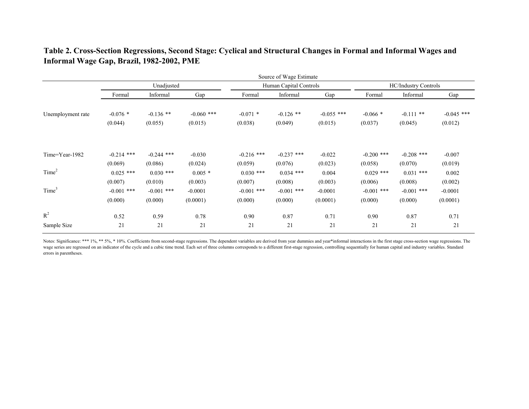**Table 2. Cross-Section Regressions, Second Stage: Cyclical and Structural Changes in Formal and Informal Wages and Informal Wage Gap, Brazil, 1982-2002, PME**

|                   |                                    |                                    |                                  |                                    | Source of Wage Estimate            |                                  |                                    |                                    |                                  |  |
|-------------------|------------------------------------|------------------------------------|----------------------------------|------------------------------------|------------------------------------|----------------------------------|------------------------------------|------------------------------------|----------------------------------|--|
|                   |                                    | Unadjusted                         |                                  |                                    | Human Capital Controls             |                                  | <b>HC/Industry Controls</b>        |                                    |                                  |  |
|                   | Formal                             | Informal                           | Gap                              | Formal                             | Informal                           | Gap                              | Formal                             | Informal                           | Gap                              |  |
| Unemployment rate | $-0.076$ *<br>(0.044)              | $-0.136$ **<br>(0.055)             | $-0.060$ ***<br>(0.015)          | $-0.071$ *<br>(0.038)              | $-0.126$ **<br>(0.049)             | $-0.055$ ***<br>(0.015)          | $-0.066*$<br>(0.037)               | $-0.111$ **<br>(0.045)             | $-0.045$ ***<br>(0.012)          |  |
| Time=Year-1982    | $-0.214$ ***<br>(0.069)            | $-0.244$ ***<br>(0.086)            | $-0.030$<br>(0.024)              | $-0.216$ ***<br>(0.059)            | $-0.237$ ***<br>(0.076)            | $-0.022$<br>(0.023)              | $-0.200$ ***<br>(0.058)            | $-0.208$ ***<br>(0.070)            | $-0.007$<br>(0.019)              |  |
| Time <sup>2</sup> | $0.025$ ***                        | $0.030$ ***                        | $0.005*$                         | $0.030$ ***                        | $0.034$ ***                        | 0.004                            | $0.029$ ***                        | $0.031$ ***                        | 0.002                            |  |
| Time <sup>3</sup> | (0.007)<br>$-0.001$ ***<br>(0.000) | (0.010)<br>$-0.001$ ***<br>(0.000) | (0.003)<br>$-0.0001$<br>(0.0001) | (0.007)<br>$-0.001$ ***<br>(0.000) | (0.008)<br>$-0.001$ ***<br>(0.000) | (0.003)<br>$-0.0001$<br>(0.0001) | (0.006)<br>$-0.001$ ***<br>(0.000) | (0.008)<br>$-0.001$ ***<br>(0.000) | (0.002)<br>$-0.0001$<br>(0.0001) |  |
| $R^2$             | 0.52                               | 0.59                               | 0.78                             | 0.90                               | 0.87                               | 0.71                             | 0.90                               | 0.87                               | 0.71                             |  |
| Sample Size       | 21                                 | 21                                 | 21                               | 21                                 | 21                                 | 21                               | 21                                 | 21                                 | 21                               |  |

Notes: Significance: \*\*\* 1%, \*\* 5%, \* 10%. Coefficients from second-stage regressions. The dependent variables are derived from year dummies and year\*informal interactions in the first stage cross-section wage regressions. wage series are regressed on an indicator of the cycle and a cubic time trend. Each set of three columns corresponds to a different first-stage regression, controlling sequentially for human capital and industry variables. errors in parentheses.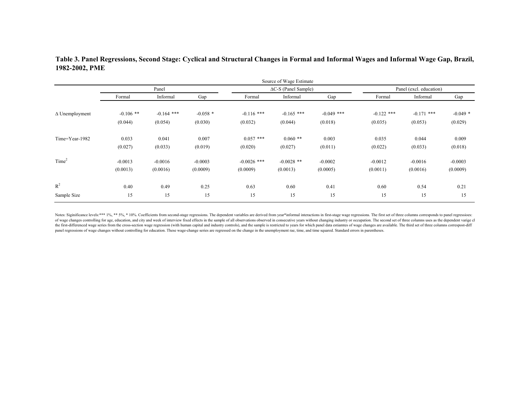## **Table 3. Panel Regressions, Second Stage: Cyclical and Structural Changes in Formal and Informal Wages and Informal Wage Gap, Brazil, 1982-2002, PME**

|                       |             |              |            |               | Source of Wage Estimate      |              |                         |              |           |  |
|-----------------------|-------------|--------------|------------|---------------|------------------------------|--------------|-------------------------|--------------|-----------|--|
|                       |             | Panel        |            |               | $\Delta C$ -S (Panel Sample) |              | Panel (excl. education) |              |           |  |
|                       | Formal      | Informal     | Gap        | Formal        | Informal                     | Gap          | Formal                  | Informal     | Gap       |  |
| $\Delta$ Unemployment | $-0.106$ ** | $-0.164$ *** | $-0.058$ * | $-0.116$ ***  | $-0.165$ ***                 | $-0.049$ *** | $-0.122$ ***            | $-0.171$ *** | $-0.049*$ |  |
|                       | (0.044)     | (0.054)      | (0.030)    | (0.032)       | (0.044)                      | (0.018)      | (0.035)                 | (0.053)      | (0.029)   |  |
| Time=Year-1982        | 0.033       | 0.041        | 0.007      | $0.057$ ***   | $0.060$ **                   | 0.003        | 0.035                   | 0.044        | 0.009     |  |
|                       | (0.027)     | (0.033)      | (0.019)    | (0.020)       | (0.027)                      | (0.011)      | (0.022)                 | (0.033)      | (0.018)   |  |
| Time <sup>2</sup>     | $-0.0013$   | $-0.0016$    | $-0.0003$  | $-0.0026$ *** | $-0.0028$ **                 | $-0.0002$    | $-0.0012$               | $-0.0016$    | $-0.0003$ |  |
|                       | (0.0013)    | (0.0016)     | (0.0009)   | (0.0009)      | (0.0013)                     | (0.0005)     | (0.0011)                | (0.0016)     | (0.0009)  |  |
| $\mathbb{R}^2$        | 0.40        | 0.49         | 0.25       | 0.63          | 0.60                         | 0.41         | 0.60                    | 0.54         | 0.21      |  |
| Sample Size           | 15          | 15           | 15         | 15            | 15                           | 15           | 15                      | 15           | 15        |  |

Notes: Siginificance levels:\*\*\* 1%, \*\* 5%, \* 10%. Coefficients from second-stage regressions. The dependent variables are derived from year\*informal interactions in first-stage wage regressions. The first set of three colu of wage changes controlling for age, education, and city and week of interview fixed effects in the sample of all observations observed in consecutive years without changing industry or occupation. The second set of three the first-differenced wage series from the cross-section wage regression (with human capital and industry controls), and the sample is restricted to years for which panel data estiamtes of wage changes are available. The t panel regressions of wage changes without controlling for education. These wage-change series are regressed on the change in the unemployment rae, time, and time squared. Standard errors in parentheses.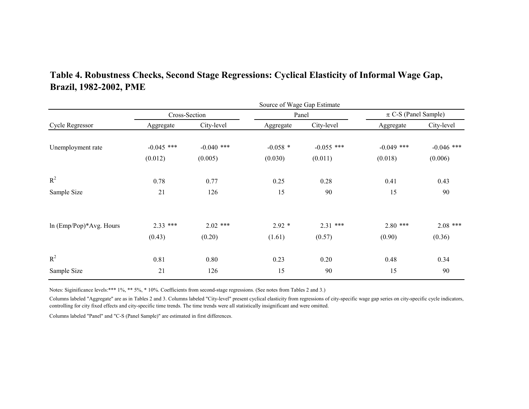|                         |              |               | Source of Wage Gap Estimate |              |                          |              |  |  |
|-------------------------|--------------|---------------|-----------------------------|--------------|--------------------------|--------------|--|--|
| Cycle Regressor         |              | Cross-Section |                             | Panel        | $\pi$ C-S (Panel Sample) |              |  |  |
|                         | Aggregate    | City-level    | Aggregate                   | City-level   | Aggregate                | City-level   |  |  |
| Unemployment rate       | $-0.045$ *** | $-0.040$ ***  | $-0.058$ *                  | $-0.055$ *** | $-0.049$ ***             | $-0.046$ *** |  |  |
|                         | (0.012)      | (0.005)       | (0.030)                     | (0.011)      | (0.018)                  | (0.006)      |  |  |
| $R^2$                   | 0.78         | 0.77          | 0.25                        | 0.28         | 0.41                     | 0.43         |  |  |
| Sample Size             | 21           | 126           | 15                          | 90           | 15                       | 90           |  |  |
| ln (Emp/Pop)*Avg. Hours | $2.33$ ***   | $2.02$ ***    | $2.92*$                     | $2.31***$    | $2.80$ ***               | $2.08$ ***   |  |  |
|                         | (0.43)       | (0.20)        | (1.61)                      | (0.57)       | (0.90)                   | (0.36)       |  |  |
| $R^2$                   | 0.81         | 0.80          | 0.23                        | 0.20         | 0.48                     | 0.34         |  |  |
| Sample Size             | 21           | 126           | 15                          | 90           | 15                       | 90           |  |  |

# **Table 4. Robustness Checks, Second Stage Regressions: Cyclical Elasticity of Informal Wage Gap, Brazil, 1982-2002, PME**

Notes: Siginificance levels:\*\*\* 1%, \*\* 5%, \* 10%. Coefficients from second-stage regressions. (See notes from Tables 2 and 3.)

Columns labeled "Aggregate" are as in Tables 2 and 3. Columns labeled "City-level" present cyclical elasticity from regressions of city-specific wage gap series on city-specific cycle indicators, controlling for city fixed effects and city-specific time trends. The time trends were all statistically insignificant and were omitted.

Columns labeled "Panel" and "C-S (Panel Sample)" are estimated in first differences.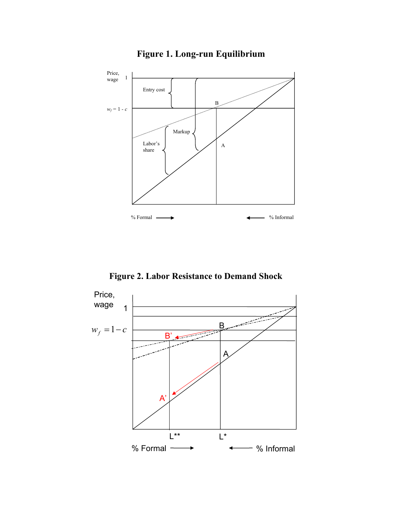

# **Figure 1. Long-run Equilibrium**

 **Figure 2. Labor Resistance to Demand Shock** 

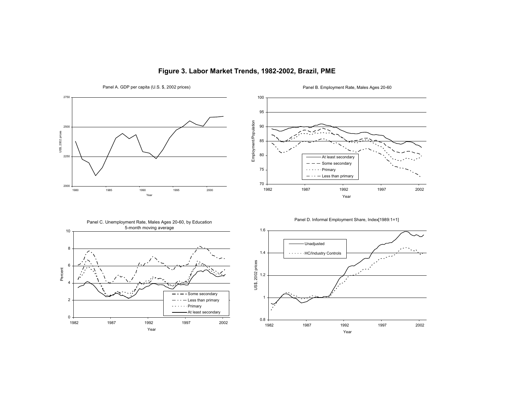

## **Figure 3. Labor Market Trends, 1982-2002, Brazil, PME**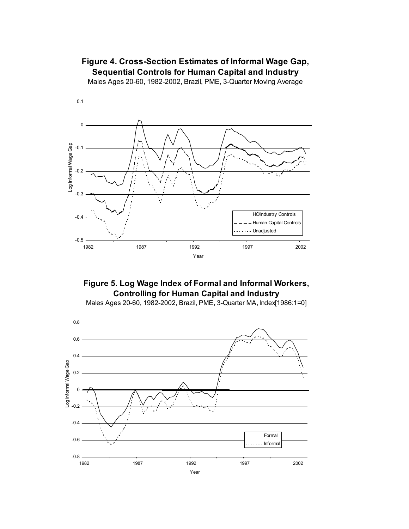## **Figure 4. Cross-Section Estimates of Informal Wage Gap, Sequential Controls for Human Capital and Industry**

Males Ages 20-60, 1982-2002, Brazil, PME, 3-Quarter Moving Average





Males Ages 20-60, 1982-2002, Brazil, PME, 3-Quarter MA, Index[1986:1=0]

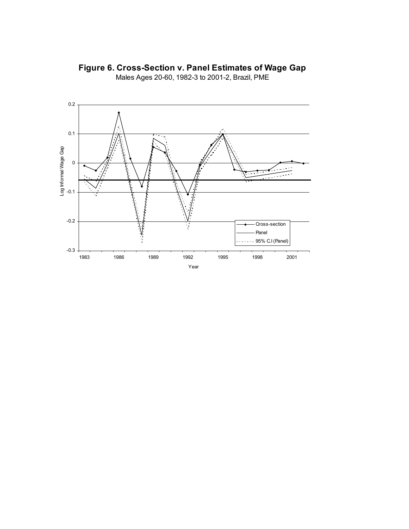

**Figure 6. Cross-Section v. Panel Estimates of Wage Gap**

Males Ages 20-60, 1982-3 to 2001-2, Brazil, PME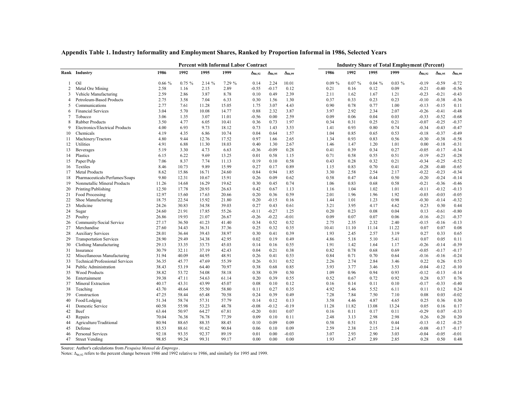|        |                                 |       | <b>Percent with Informal Labor Contract</b> |       |        | <b>Industry Share of Total Employment (Percent)</b> |                  |                  |       |       |       |          |                  |                  |                  |
|--------|---------------------------------|-------|---------------------------------------------|-------|--------|-----------------------------------------------------|------------------|------------------|-------|-------|-------|----------|------------------|------------------|------------------|
|        | Rank Industry                   | 1986  | 1992                                        | 1995  | 1999   | $\Delta_{86.92}$                                    | $\Delta_{86.95}$ | $\Delta_{86,99}$ | 1986  | 1992  | 1995  | 1999     | $\Delta_{86,92}$ | $\Delta_{86,95}$ | $\Delta_{86,99}$ |
| 1      | Oil                             | 0.66% | $0.75 \%$                                   | 2.14% | 7.29 % | 0.14                                                | 2.24             | 10.01            | 0.09% | 0.07% | 0.04% | $0.03\%$ | $-0.19$          | $-0.59$          | $-0.72$          |
| 2      | Metal Ore Mining                | 2.58  | 1.16                                        | 2.15  | 2.89   | $-0.55$                                             | $-0.17$          | 0.12             | 0.21  | 0.16  | 0.12  | 0.09     | $-0.21$          | $-0.40$          | $-0.56$          |
| 3      | Vehicle Manufacturing           | 2.59  | 2.86                                        | 3.87  | 8.78   | 0.10                                                | 0.49             | 2.39             | 2.11  | 1.62  | 1.67  | 1.21     | $-0.23$          | $-0.21$          | $-0.43$          |
| 4      | Petroleum-Based Products        | 2.75  | 3.58                                        | 7.04  | 6.33   | 0.30                                                | 1.56             | 1.30             | 0.37  | 0.33  | 0.23  | 0.23     | $-0.10$          | $-0.38$          | $-0.36$          |
| 5      | Communications                  | 2.77  | 7.61                                        | 11.28 | 15.05  | 1.75                                                | 3.07             | 4.43             | 0.90  | 0.78  | 0.77  | 1.00     | $-0.13$          | $-0.15$          | 0.11             |
| 6      | <b>Financial Services</b>       | 3.04  | 5.70                                        | 10.08 | 14.77  | 0.88                                                | 2.32             | 3.87             | 3.97  | 2.92  | 2.34  | 2.07     | $-0.26$          | $-0.41$          | $-0.48$          |
| $\tau$ | Tobacco                         | 3.06  | 1.35                                        | 3.07  | 11.01  | $-0.56$                                             | 0.00             | 2.59             | 0.09  | 0.06  | 0.04  | 0.03     | $-0.33$          | $-0.52$          | $-0.68$          |
| 8      | Rubber Products                 | 3.50  | 4.77                                        | 6.05  | 10.41  | 0.36                                                | 0.73             | 1.97             | 0.34  | 0.31  | 0.25  | 0.21     | $-0.07$          | $-0.25$          | $-0.37$          |
| 9      | Electronics/Electrical Products | 4.00  | 6.93                                        | 9.73  | 18.12  | 0.73                                                | 1.43             | 3.53             | 1.41  | 0.93  | 0.80  | 0.74     | $-0.34$          | $-0.43$          | $-0.47$          |
| 10     | Chemicals                       | 4.19  | 4.35                                        | 6.86  | 10.74  | 0.04                                                | 0.64             | 1.57             | 1.04  | 0.85  | 0.65  | 0.53     | $-0.18$          | $-0.37$          | $-0.49$          |
| 11     | Machinery/Tractors              | 4.80  | 9.44                                        | 12.76 | 17.52  | 0.97                                                | 1.66             | 2.65             | 1.34  | 0.93  | 0.83  | 0.56     | $-0.30$          | $-0.38$          | $-0.58$          |
| 12     | Utilities                       | 4.91  | 6.88                                        | 11.30 | 18.03  | 0.40                                                | 1.30             | 2.67             | 1.46  | 1.47  | 1.20  | 1.01     | 0.00             | $-0.18$          | $-0.31$          |
| 13     | Beverages                       | 5.19  | 3.30                                        | 4.73  | 6.63   | $-0.36$                                             | $-0.09$          | 0.28             | 0.41  | 0.39  | 0.34  | 0.27     | $-0.05$          | $-0.17$          | $-0.34$          |
| 14     | Plastics                        | 6.15  | 6.22                                        | 9.69  | 13.25  | 0.01                                                | 0.58             | 1.15             | 0.71  | 0.58  | 0.55  | 0.51     | $-0.19$          | $-0.23$          | $-0.28$          |
| 15     | Paper/Pulp                      | 7.06  | 8.37                                        | 7.74  | 11.13  | 0.19                                                | 0.10             | 0.58             | 0.43  | 0.28  | 0.32  | 0.21     | $-0.34$          | $-0.25$          | $-0.52$          |
| 16     | Textiles                        | 8.46  | 10.73                                       | 9.89  | 15.99  | 0.27                                                | 0.17             | 0.89             | 1.15  | 0.83  | 0.70  | 0.41     | $-0.28$          | $-0.40$          | $-0.65$          |
| 17     | <b>Metal Products</b>           | 8.62  | 15.86                                       | 16.71 | 24.60  | 0.84                                                | 0.94             | 1.85             | 3.30  | 2.58  | 2.54  | 2.17     | $-0.22$          | $-0.23$          | $-0.34$          |
| 18     | Pharmaceuticals/Perfumes/Soaps  | 9.80  | 12.31                                       | 10.67 | 15.91  | 0.26                                                | 0.09             | 0.62             | 0.58  | 0.47  | 0.44  | 0.50     | $-0.20$          | $-0.24$          | $-0.14$          |
| 19     | Nonmetallic Mineral Products    | 11.26 | 14.68                                       | 16.29 | 19.62  | 0.30                                                | 0.45             | 0.74             | 1.06  | 0.83  | 0.68  | 0.58     | $-0.21$          | $-0.36$          | $-0.46$          |
| 20     | Printing/Publishing             | 12.50 | 17.78                                       | 20.93 | 26.63  | 0.42                                                | 0.67             | 1.13             | 1.16  | 1.04  | 1.02  | 1.01     | $-0.11$          | $-0.12$          | $-0.13$          |
| 21     | Food Processing                 | 12.97 | 15.60                                       | 17.63 | 20.66  | 0.20                                                | 0.36             | 0.59             | 2.01  | 1.96  | 1.96  | 1.92     | $-0.03$          | $-0.03$          | $-0.05$          |
| 22     | Shoe Manufacturing              | 18.75 | 22.54                                       | 15.92 | 21.80  | 0.20                                                | $-0.15$          | 0.16             | 1.44  | 1.01  | 1.23  | 0.98     | $-0.30$          | $-0.14$          | $-0.32$          |
| 23     | Medicine                        | 24.26 | 30.83                                       | 34.58 | 39.03  | 0.27                                                | 0.43             | 0.61             | 3.21  | 3.95  | 4.17  | 4.62     | 0.23             | 0.30             | 0.44             |
| 24     | Sugar                           | 24.60 | 21.91                                       | 17.85 | 55.26  | $-0.11$                                             | $-0.27$          | 1.25             | 0.20  | 0.23  | 0.08  | 0.04     | 0.13             | $-0.61$          | $-0.80$          |
| 25     | Poultry                         | 26.86 | 19.93                                       | 21.07 | 26.67  | $-0.26$                                             | $-0.22$          | $-0.01$          | 0.09  | 0.07  | 0.07  | 0.06     | $-0.16$          | $-0.21$          | $-0.37$          |
| 26     | Community/Social Service        | 27.17 | 36.50                                       | 41.23 | 41.40  | 0.34                                                | 0.52             | 0.52             | 2.75  | 2.35  | 2.32  | 2.40     | $-0.15$          | $-0.16$          | $-0.13$          |
| 27     | Merchandise                     | 27.60 | 34.43                                       | 36.31 | 37.36  | 0.25                                                | 0.32             | 0.35             | 10.41 | 11.10 | 11.14 | 11.22    | 0.07             | 0.07             | 0.08             |
| 28     | <b>Auxiliary Services</b>       | 28.01 | 36.44                                       | 39.43 | 38.97  | 0.30                                                | 0.41             | 0.39             | 1.93  | 2.45  | 2.57  | 3.19     | 0.27             | 0.33             | 0.65             |
| 29     | <b>Transportation Services</b>  | 28.90 | 29.49                                       | 34.38 | 42.95  | 0.02                                                | 0.19             | 0.49             | 4.86  | 5.18  | 5.10  | 5.41     | 0.07             | 0.05             | 0.11             |
| 30     | Clothing Manufacturing          | 29.13 | 33.35                                       | 33.73 | 45.03  | 0.14                                                | 0.16             | 0.55             | 1.91  | 1.42  | 1.64  | 1.17     | $-0.26$          | $-0.14$          | $-0.39$          |
| 31     | Insurance                       | 30.79 | 32.11                                       | 37.19 | 42.43  | 0.04                                                | 0.21             | 0.38             | 0.82  | 0.78  | 0.68  | 0.69     | $-0.05$          | $-0.17$          | $-0.17$          |
| 32     | Miscellaneous Manufacturing     | 31.94 | 40.09                                       | 44.95 | 48.91  | 0.26                                                | 0.41             | 0.53             | 0.84  | 0.71  | 0.70  | 0.64     | $-0.16$          | $-0.16$          | $-0.24$          |
| 33     | Technical/Professional Services | 36.35 | 45.77                                       | 47.69 | 55.39  | 0.26                                                | 0.31             | 0.52             | 2.26  | 2.74  | 2.84  | 3.46     | 0.22             | 0.26             | 0.53             |
| 34     | Public Administration           | 38.43 | 53.19                                       | 64.40 | 70.97  | 0.38                                                | 0.68             | 0.85             | 3.93  | 3.77  | 3.46  | 3.53     | $-0.04$          | $-0.12$          | $-0.10$          |
| 35     | <b>Wood Products</b>            | 38.82 | 53.72                                       | 54.08 | 58.18  | 0.38                                                | 0.39             | 0.50             | 1.09  | 0.96  | 0.94  | 0.93     | $-0.12$          | $-0.13$          | $-0.14$          |
| 36     | Entertainment                   | 39.38 | 47.11                                       | 54.63 | 61.14  | 0.20                                                | 0.39             | 0.55             | 0.52  | 0.67  | 0.72  | 0.92     | 0.28             | 0.37             | 0.76             |
| 37     | Mineral Extraction              | 40.17 | 43.31                                       | 43.99 | 45.07  | 0.08                                                | 0.10             | 0.12             | 0.16  | 0.14  | 0.11  | 0.10     | $-0.17$          | $-0.33$          | $-0.40$          |
| 38     | Teaching                        | 43.70 | 48.64                                       | 55.50 | 58.80  | 0.11                                                | 0.27             | 0.35             | 4.92  | 5.46  | 5.52  | 6.11     | 0.11             | 0.12             | 0.24             |
| 39     | Construction                    | 47.25 | 58.44                                       | 65.48 | 70.58  | 0.24                                                | 0.39             | 0.49             | 7.28  | 7.84  | 7.50  | 7.10     | 0.08             | 0.03             | $-0.02$          |
| 40     | Food/Lodging                    | 51.34 | 58.74                                       | 57.31 | 57.79  | 0.14                                                | 0.12             | 0.13             | 3.58  | 4.46  | 4.87  | 4.65     | 0.25             | 0.36             | 0.30             |
| 41     | Domestic Service                | 60.58 | 55.98                                       | 53.23 | 48.78  | $-0.08$                                             | $-0.12$          | $-0.19$          | 11.28 | 11.82 | 13.08 | 13.24    | 0.05             | 0.16             | 0.17             |
| 42     | Beef                            | 63.44 | 50.97                                       | 64.27 | 67.81  | $-0.20$                                             | 0.01             | 0.07             | 0.16  | 0.11  | 0.17  | 0.11     | $-0.29$          | 0.07             | $-0.33$          |
| 43     | Repairs                         | 70.04 | 76.38                                       | 76.78 | 77.39  | 0.09                                                | 0.10             | 0.11             | 2.48  | 3.13  | 2.98  | 2.98     | 0.26             | 0.20             | 0.20             |
| 44     | Agriculture/Traditional         | 80.94 | 88.65                                       | 88.35 | 88.45  | 0.10                                                | 0.09             | 0.09             | 0.58  | 0.51  | 0.51  | 0.44     | $-0.13$          | $-0.12$          | $-0.25$          |
| 45     | Defense                         | 83.53 | 88.61                                       | 91.62 | 90.84  | 0.06                                                | 0.10             | 0.09             | 2.59  | 2.38  | 2.15  | 2.14     | $-0.08$          | $-0.17$          | $-0.17$          |
| 46     | Personal Services               | 92.18 | 93.35                                       | 92.37 | 89.19  | 0.01                                                | 0.00             | $-0.03$          | 3.07  | 2.93  | 2.90  | 3.03     | $-0.04$          | $-0.05$          | $-0.01$          |
| 47     | <b>Street Vending</b>           | 98.85 | 99.24                                       | 99.31 | 99.17  | 0.00                                                | 0.00             | 0.00             | 1.93  | 2.47  | 2.89  | 2.85     | 0.28             | 0.50             | 0.48             |
|        |                                 |       |                                             |       |        |                                                     |                  |                  |       |       |       |          |                  |                  |                  |

**Appendix Table 1. Industry Informality and Employment Shares, Ranked by Proportion Informal in 1986, Selected Years**

Source: Author's calculations from *Pesquisa Mensal de Emprego* .

Notes: Δ<sub>86,92</sub> refers to the percent change between 1986 and 1992 relative to 1986, and similarly for 1995 and 1999.